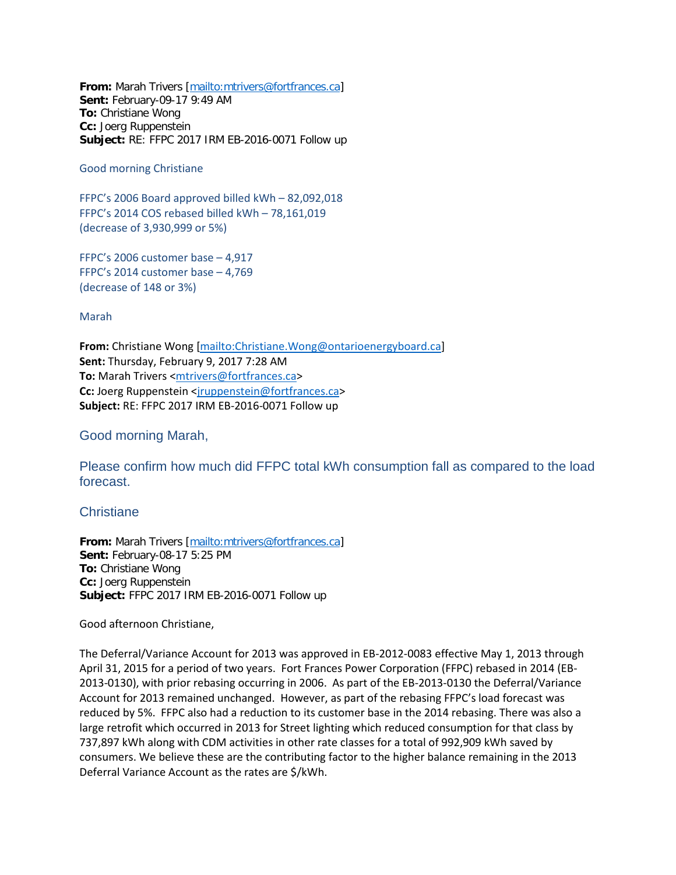**From:** Marah Trivers [\[mailto:mtrivers@fortfrances.ca\]](mailto:mtrivers@fortfrances.ca) **Sent:** February-09-17 9:49 AM **To:** Christiane Wong **Cc:** Joerg Ruppenstein **Subject:** RE: FFPC 2017 IRM EB-2016-0071 Follow up

Good morning Christiane

FFPC's 2006 Board approved billed kWh – 82,092,018 FFPC's 2014 COS rebased billed kWh – 78,161,019 (decrease of 3,930,999 or 5%)

FFPC's 2006 customer base – 4,917 FFPC's 2014 customer base – 4,769 (decrease of 148 or 3%)

Marah

**From:** Christiane Wong [\[mailto:Christiane.Wong@ontarioenergyboard.ca\]](mailto:Christiane.Wong@ontarioenergyboard.ca) **Sent:** Thursday, February 9, 2017 7:28 AM **To:** Marah Trivers [<mtrivers@fortfrances.ca>](mailto:mtrivers@fortfrances.ca) **Cc:** Joerg Ruppenstein <iruppenstein@fortfrances.ca> **Subject:** RE: FFPC 2017 IRM EB-2016-0071 Follow up

Good morning Marah,

Please confirm how much did FFPC total kWh consumption fall as compared to the load forecast.

**Christiane** 

**From:** Marah Trivers [\[mailto:mtrivers@fortfrances.ca\]](mailto:mtrivers@fortfrances.ca) **Sent:** February-08-17 5:25 PM **To:** Christiane Wong **Cc:** Joerg Ruppenstein **Subject:** FFPC 2017 IRM EB-2016-0071 Follow up

Good afternoon Christiane,

The Deferral/Variance Account for 2013 was approved in EB-2012-0083 effective May 1, 2013 through April 31, 2015 for a period of two years. Fort Frances Power Corporation (FFPC) rebased in 2014 (EB-2013-0130), with prior rebasing occurring in 2006. As part of the EB-2013-0130 the Deferral/Variance Account for 2013 remained unchanged. However, as part of the rebasing FFPC's load forecast was reduced by 5%. FFPC also had a reduction to its customer base in the 2014 rebasing. There was also a large retrofit which occurred in 2013 for Street lighting which reduced consumption for that class by 737,897 kWh along with CDM activities in other rate classes for a total of 992,909 kWh saved by consumers. We believe these are the contributing factor to the higher balance remaining in the 2013 Deferral Variance Account as the rates are \$/kWh.